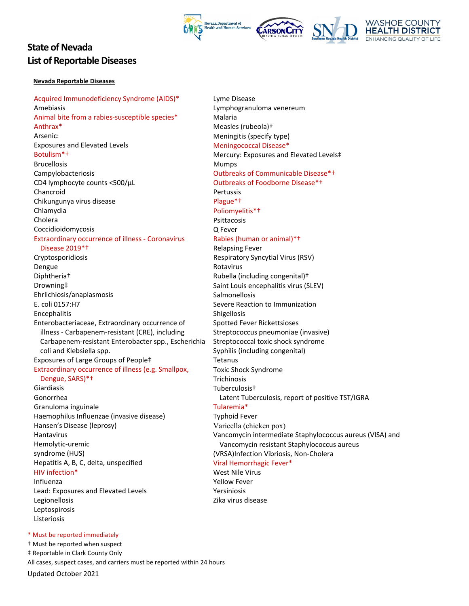

# **State of Nevada List of Reportable Diseases**

#### **Nevada Reportable Diseases**

 Acquired Immunodeficiency Syndrome (AIDS)\* Animal bite from a rabies‐susceptible species\* Exposures and Elevated Levels CD4 lymphocyte counts <500/μL Chikungunya virus disease Extraordinary occurrence of illness ‐ Coronavirus Disease 2019\*† E. coli 0157:H7 Enterobacteriaceae, Extraordinary occurrence of illness ‐ Carbapenem‐resistant (CRE), including Carbapenem‐resistant Enterobacter spp., Escherichia coli and Klebsiella spp. Exposures of Large Groups of People‡ Extraordinary occurrence of illness (e.g. Smallpox, Dengue, SARS)\*† Granuloma inguinale Haemophilus Influenzae (invasive disease) Hansen's Disease (leprosy) syndrome (HUS) Hepatitis A, B, C, delta, unspecified HIV infection\* Lead: Exposures and Elevated Levels Amebiasis Anthrax\* Arsenic: Botulism\*† Brucellosis Campylobacteriosis Chancroid Chlamydia Cholera Coccidioidomycosis Cryptosporidiosis Dengue Diphtheria† Drowning‡ Ehrlichiosis/anaplasmosis Encephalitis Giardiasis Gonorrhea Hantavirus Hemolytic‐uremic Influenza Legionellosis Leptospirosis Listeriosis

 Lyme Disease Lymphogranuloma venereum Measles (rubeola)+ Measles (rubeola)†<br>Meningitis (specify type) Meningococcal Disease\* Meningococcal Disease\*<br>Mercury: Exposures and Elevated Levels‡ Outbreaks of Communicable Disease\*1 Outbreaks of Communicable Disease\*†<br>Outbreaks of Foodborne Disease\*† O Fever (human or animal)\*+ Respiratory Syncytial Virus (RSV) Rubella (including congenital)† Saint Louis encephalitis virus (SLEV)<br>Salmonellosis Severe Reaction to Immunization Spotted Fever Rickettsioses Streptococcus pneumoniae (invasive) Streptococcal toxic shock syndrome<br>Syphilis (including congenital)<br>Tetanus Syphilis (including congenital) Toxic Shock Syndrome<br>Trichinosis Latent Tuberculosis, report of positive TST/IGRA<br>Tularemia\* Typhoid Fever Vancomycin intermediate Staphylococcus aureus (VISA) and (VRSA)Infection Vibriosis, Non‐Cholera Viral Hemorrhagic Fever\* West Nile Virus **Relapsing Fever** Malaria Mumps Pertussis Plague\*† Poliomyelitis\*† Psittacosis Q Fever<br><mark>Rabies (human or animal)\*†</mark><br>Relapsing Fever Rotavirus Shigellosis Tuberculosis† Varicella (chicken pox) Vancomycin resistant Staphylococcus aureus Yellow Fever

Yersiniosis

Zika virus disease

\* Must be reported immediately

 Updated October 2021 † Must be reported when suspect All cases, suspect cases, and carriers must be reported within 24 hours ‡ Reportable in Clark County Only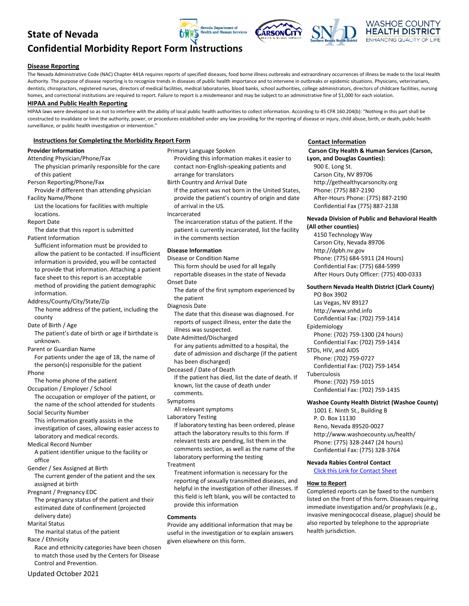## **State of Nevada**

# **Confidential Morbidity Report Form Instructions**

#### **Disease Reporting**

The Nevada Administrative Code (NAC) Chapter 441A requires reports of specified diseases, food borne illness outbreaks and extraordinary occurrences of illness be made to the local Health Authority. The purpose of disease reporting is to recognize trends in diseases of public health importance and to intervene in outbreaks or epidemic situations. Physicians, veterinarians, dentists, chiropractors, registered nurses, directors of medical facilities, medical laboratories, blood banks, school authorities, college administrators, directors of childcare facilities, nursing homes, and correctional institutions are required to report. Failure to report is a misdemeanor and may be subject to an administrative fine of \$1,000 for each violation.

**Jevada Department of** alth and Human Services

#### **HIPAA and Public Health Reporting**

 HIPAA laws were developed so as not to interfere with the ability of local public health authorities to collect information. According to 45 CFR 160.204(b): "Nothing in this part shall be constructed to invalidate or limit the authority, power, or procedures established under any law providing for the reporting of disease or injury, child abuse, birth, or death, public health surveillance, or public health investigation or intervention."

#### **Instructions for Completing the Morbidity Report Form**

#### **Provider Information**

 The physician primarily responsible for the care of this patient Attending Physician/Phone/Fax

Person Reporting/Phone/Fax

 Provide if different than attending physician Facility Name/Phone

 List the locations for facilities with multiple locations.

Report Date

 The date that this report is submitted Patient Information

 Sufficient information must be provided to allow the patient to be contacted. If insufficient information is provided, you will be contacted to provide that information. Attaching a patient face sheet to this report is an acceptable method of providing the patient demographic information.

Address/County/City/State/Zip

 The home address of the patient, including the county

Date of Birth / Age

 The patient's date of birth or age if birthdate is unknown.

Parent or Guardian Name

 For patients under the age of 18, the name of the person(s) responsible for the patient

Phone

The home phone of the patient

 Occupation / Employer / School The occupation or employer of the patient, or the name of the school attended for students

Social Security Number

 This information greatly assists in the investigation of cases, allowing easier access to laboratory and medical records.

Medical Record Number

 A patient identifier unique to the facility or office

Gender / Sex Assigned at Birth

 The current gender of the patient and the sex assigned at birth

Pregnant / Pregnancy EDC

 The pregnancy status of the patient and their estimated date of confinement (projected delivery date)

Marital Status

The marital status of the patient

Race / Ethnicity

 Race and ethnicity categories have been chosen to match those used by the Centers for Disease Control and Prevention.

 Primary Language Spoken Providing this information makes it easier to contact non‐English‐speaking patients and arrange for translators Birth Country and Arrival Date If the patient was not born in the United States, provide the patient's country of origin and date of arrival in the US. The incarceration status of the patient. If the patient is currently incarcerated, list the facility in the comments section  **Disease Information** Disease or Condition Name This form should be used for all legally reportable diseases in the state of Nevada Onset Date The date of the first symptom experienced by the patient Diagnosis Date The date that this disease was diagnosed. For reports of suspect illness, enter the date the illness was suspected. For any patients admitted to a hospital, the date of admission and discharge (if the patient has been discharged) Deceased / Date of Death If the patient has died, list the date of death. If known, list the cause of death under All relevant symptoms Laboratory Testing If laboratory testing has been ordered, please attach the laboratory results to this form. If relevant tests are pending, list them in the comments section, as well as the name of the laboratory performing the testing Treatment information is necessary for the reporting of sexually transmitted diseases, and helpful in the investigation of other illnesses. If Incarcerated Date Admitted/Discharged comments. Symptoms Treatment

 this field is left blank, you will be contacted to provide this information Provide any additional information that may be **Comments**

 useful in the investigation or to explain answers given elsewhere on this form.

#### **Contact Information**

#### **Carson City Health & Human Services (Carson, Lyon, and Douglas Counties):**

 900 E. Long St. Carson City, NV 89706 Phone: (775) 887‐2190 After‐Hours Phone: (775) 887‐2190 Confidential Fax (775) 887‐2138 <http://gethealthycarsoncity.org>

# **Nevada Division of Public and Behavioral Health**

 **(All other counties)**

 4150 Technology Way Carson City, Nevada 89706 Phone: (775) 684‐5911 (24 Hours) Confidential Fax: (775) 684‐5999 After Hours Duty Officer: (775) 400‐0333 <http://dpbh.nv.gov>

#### **Southern Nevada Health District (Clark County)**

 PO Box 3902 Las Vegas, NV 89127 Confidential Fax: (702) 759‐1414 <http://www.snhd.info> Epidemiology

 Phone: (702) 759‐1300 (24 hours) Confidential Fax: (702) 759‐1414

STDs, HIV, and AIDS

 Phone: (702) 759‐0727 Confidential Fax: (702) 759‐1454

Tuberculosis

 Phone: (702) 759‐1015 Confidential Fax: (702) 759‐1435

#### **Washoe County Health District (Washoe County)**

 1001 E. Ninth St., Building B P. O. Box 11130 Reno, Nevada 89520‐0027 Phone: (775) 328‐2447 (24 hours) Confidential Fax: (775) 328‐3764 <http://www.washoecounty.us/health>/

#### **Nevada Rabies Control Contact**

Click this Link for Contact Sheet

#### **How to Report**

 Completed reports can be faxed to the numbers listed on the front of this form. Diseases requiring immediate investigation and/or prophylaxis (e.g., invasive meningococcal disease, plague) should be also reported by telephone to the appropriate gation of other linesses. If<br>you will be contacted to<br>listed on the front of this form. Dise<br>immediate investigation and/or pro<br>immediate investigation and/or pro<br>invasive meningococcal disease, pla<br>nformation that may be<br> health jurisdiction.

Updated October 2021



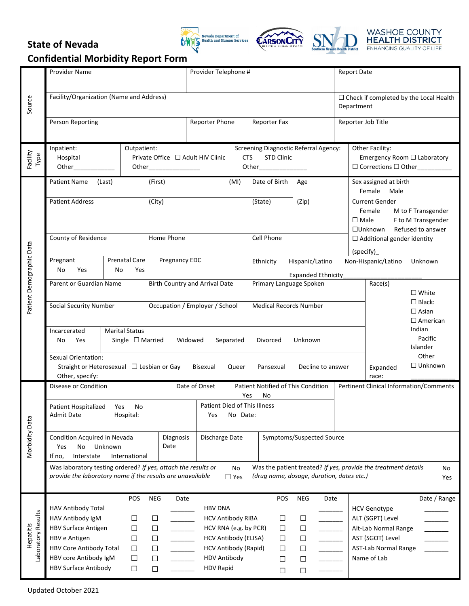# **State of Nevada**







| Source                          | <b>Provider Name</b>                                                                                                                                                                                                                                                               |                            |                                                                                                                      | Provider Telephone #                                                                                                                                                                                                                             |            |                      |                                                                                                   |                                 |                                                                                                   | <b>Report Date</b>                             |                                                             |                                                                                                                                            |                                                     |  |
|---------------------------------|------------------------------------------------------------------------------------------------------------------------------------------------------------------------------------------------------------------------------------------------------------------------------------|----------------------------|----------------------------------------------------------------------------------------------------------------------|--------------------------------------------------------------------------------------------------------------------------------------------------------------------------------------------------------------------------------------------------|------------|----------------------|---------------------------------------------------------------------------------------------------|---------------------------------|---------------------------------------------------------------------------------------------------|------------------------------------------------|-------------------------------------------------------------|--------------------------------------------------------------------------------------------------------------------------------------------|-----------------------------------------------------|--|
|                                 | Facility/Organization (Name and Address)                                                                                                                                                                                                                                           |                            |                                                                                                                      |                                                                                                                                                                                                                                                  |            |                      |                                                                                                   |                                 |                                                                                                   |                                                | $\Box$ Check if completed by the Local Health<br>Department |                                                                                                                                            |                                                     |  |
|                                 | Person Reporting                                                                                                                                                                                                                                                                   |                            |                                                                                                                      | Reporter Phone                                                                                                                                                                                                                                   |            |                      | Reporter Fax                                                                                      |                                 |                                                                                                   |                                                | Reporter Job Title                                          |                                                                                                                                            |                                                     |  |
| Facility<br>Type                | Inpatient:<br>Hospital<br>Other_____________                                                                                                                                                                                                                                       | Outpatient:                | <b>Screening Diagnostic Referral Agency:</b><br>Private Office □ Adult HIV Clinic<br><b>STD Clinic</b><br><b>CTS</b> |                                                                                                                                                                                                                                                  |            |                      |                                                                                                   |                                 | Other Facility:<br>Emergency Room □ Laboratory<br>$\square$ Corrections $\square$ Other__________ |                                                |                                                             |                                                                                                                                            |                                                     |  |
| Patient Demographic Data        | Patient Name (Last)                                                                                                                                                                                                                                                                |                            |                                                                                                                      | (First)                                                                                                                                                                                                                                          |            | Date of Birth<br>Age |                                                                                                   |                                 |                                                                                                   | Sex assigned at birth<br>Female<br>Male        |                                                             |                                                                                                                                            |                                                     |  |
|                                 | <b>Patient Address</b>                                                                                                                                                                                                                                                             |                            |                                                                                                                      | (City)                                                                                                                                                                                                                                           |            |                      | (State)                                                                                           |                                 | (Zip)                                                                                             |                                                |                                                             | <b>Current Gender</b><br>Female<br>M to F Transgender<br>F to M Transgender<br>$\square$ Male<br>Refused to answer<br>$\Box$ Unknown       |                                                     |  |
|                                 | County of Residence                                                                                                                                                                                                                                                                |                            |                                                                                                                      | Home Phone                                                                                                                                                                                                                                       | Cell Phone |                      |                                                                                                   |                                 |                                                                                                   | $\Box$ Additional gender identity<br>(specify) |                                                             |                                                                                                                                            |                                                     |  |
|                                 | Pregnant<br>No<br>Yes                                                                                                                                                                                                                                                              | <b>Prenatal Care</b><br>No | Yes                                                                                                                  | Pregnancy EDC                                                                                                                                                                                                                                    |            |                      | Ethnicity                                                                                         |                                 | Hispanic/Latino                                                                                   |                                                | Non-Hispanic/Latino<br>Unknown                              |                                                                                                                                            |                                                     |  |
|                                 | Parent or Guardian Name                                                                                                                                                                                                                                                            |                            |                                                                                                                      | <b>Birth Country and Arrival Date</b>                                                                                                                                                                                                            |            |                      |                                                                                                   |                                 | Expanded Ethnicity<br>Primary Language Spoken                                                     |                                                |                                                             | Race(s)                                                                                                                                    | $\Box$ White                                        |  |
|                                 | <b>Social Security Number</b>                                                                                                                                                                                                                                                      |                            |                                                                                                                      | Occupation / Employer / School                                                                                                                                                                                                                   |            |                      | <b>Medical Records Number</b>                                                                     |                                 |                                                                                                   |                                                |                                                             |                                                                                                                                            | $\Box$ Black:<br>$\Box$ Asian<br>$\square$ American |  |
|                                 | <b>Marital Status</b><br>Incarcerated<br>Yes<br>Single $\Box$ Married<br>Widowed<br>Separated<br>Divorced<br>Unknown<br>No                                                                                                                                                         |                            |                                                                                                                      |                                                                                                                                                                                                                                                  |            |                      |                                                                                                   |                                 |                                                                                                   |                                                |                                                             |                                                                                                                                            | Indian<br>Pacific<br>Islander                       |  |
|                                 | Sexual Orientation:<br>Straight or Heterosexual □ Lesbian or Gay<br>Bisexual<br>Queer<br>Pansexual<br>Decline to answer<br>Other, specify:                                                                                                                                         |                            |                                                                                                                      |                                                                                                                                                                                                                                                  |            |                      |                                                                                                   |                                 |                                                                                                   |                                                |                                                             | Expanded<br>race:                                                                                                                          | Other<br>$\Box$ Unknown                             |  |
| Morbidity Data                  | Date of Onset<br>Patient Notified of This Condition<br><b>Pertinent Clinical Information/Comments</b><br>Disease or Condition<br>Yes<br>No                                                                                                                                         |                            |                                                                                                                      |                                                                                                                                                                                                                                                  |            |                      |                                                                                                   |                                 |                                                                                                   |                                                |                                                             |                                                                                                                                            |                                                     |  |
|                                 | Patient Died of This Illness<br>Patient Hospitalized Yes<br>No<br><b>Admit Date</b><br>Hospital:<br>No Date:<br>Yes                                                                                                                                                                |                            |                                                                                                                      |                                                                                                                                                                                                                                                  |            |                      |                                                                                                   |                                 |                                                                                                   |                                                |                                                             |                                                                                                                                            |                                                     |  |
|                                 | Condition Acquired in Nevada<br>Diagnosis<br>Discharge Date<br>Symptoms/Suspected Source<br>Date<br>Unknown<br>No<br>Yes<br>Interstate<br>If no,<br>International                                                                                                                  |                            |                                                                                                                      |                                                                                                                                                                                                                                                  |            |                      |                                                                                                   |                                 |                                                                                                   |                                                |                                                             |                                                                                                                                            |                                                     |  |
|                                 | Was laboratory testing ordered? If yes, attach the results or<br>Was the patient treated? If yes, provide the treatment details<br><b>No</b><br>No<br>provide the laboratory name if the results are unavailable<br>(drug name, dosage, duration, dates etc.)<br>$\Box$ Yes<br>Yes |                            |                                                                                                                      |                                                                                                                                                                                                                                                  |            |                      |                                                                                                   |                                 |                                                                                                   |                                                |                                                             |                                                                                                                                            |                                                     |  |
| Laboratory Results<br>Hepatitis | POS<br>HAV Antibody Total<br>HAV Antibody IgM<br>$\Box$<br><b>HBV Surface Antigen</b><br>$\Box$<br>HBV e Antigen<br>$\Box$<br>HBV Core Antibody Total<br>$\Box$<br>HBV core Antibody IgM<br>$\Box$<br>HBV Surface Antibody<br>$\Box$                                               |                            |                                                                                                                      | <b>NEG</b><br>Date<br><b>HBV DNA</b><br>$\Box$<br><b>HCV Antibody RIBA</b><br>$\Box$<br>HCV RNA (e.g. by PCR)<br>HCV Antibody (ELISA)<br>$\Box$<br>HCV Antibody (Rapid)<br>$\Box$<br><b>HDV Antibody</b><br>$\Box$<br><b>HDV Rapid</b><br>$\Box$ |            |                      | POS<br><b>NEG</b><br>$\Box$<br>$\Box$<br>$\Box$<br>$\Box$<br>$\Box$<br>$\Box$<br>$\Box$<br>$\Box$ |                                 |                                                                                                   | Date                                           |                                                             | Date / Range<br><b>HCV Genotype</b><br>ALT (SGPT) Level<br>Alt-Lab Normal Range<br>AST (SGOT) Level<br>AST-Lab Normal Range<br>Name of Lab |                                                     |  |
|                                 |                                                                                                                                                                                                                                                                                    |                            |                                                                                                                      |                                                                                                                                                                                                                                                  |            |                      |                                                                                                   | $\Box$<br>□<br>$\Box$<br>$\Box$ |                                                                                                   |                                                |                                                             |                                                                                                                                            |                                                     |  |